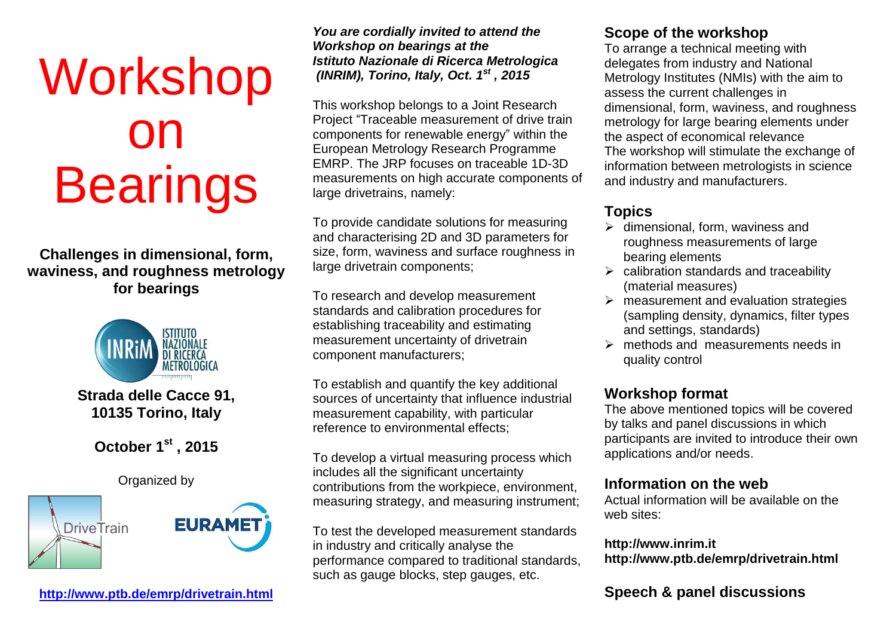# Workshop on **Bearings**

**Challenges in dimensional, form, waviness, and roughness metrology for bearings**



## **Strada delle Cacce 91, 10135 Torino, Italy**

# **October 1st , 2015**

Organized by



**<http://www.ptb.de/emrp/drivetrain.html>**

*You are cordially invited to attend the Workshop on bearings at the Istituto Nazionale di Ricerca Metrologica (INRIM), Torino, Italy, Oct. 1st , 2015*

This workshop belongs to a Joint Research Project "Traceable measurement of drive train components for renewable energy" within the European Metrology Research Programme EMRP. The JRP focuses on traceable 1D-3D measurements on high accurate components of large drivetrains, namely:

To provide candidate solutions for measuring and characterising 2D and 3D parameters for size, form, waviness and surface roughness in large drivetrain components;

To research and develop measurement standards and calibration procedures for establishing traceability and estimating measurement uncertainty of drivetrain component manufacturers;

To establish and quantify the key additional sources of uncertainty that influence industrial measurement capability, with particular reference to environmental effects;

To develop a virtual measuring process which includes all the significant uncertainty contributions from the workpiece, environment, measuring strategy, and measuring instrument;

To test the developed measurement standards in industry and critically analyse the performance compared to traditional standards, such as gauge blocks, step gauges, etc.

#### **Scope of the workshop**

To arrange a technical meeting with delegates from industry and National Metrology Institutes (NMIs) with the aim to assess the current challenges in dimensional, form, waviness, and roughness metrology for large bearing elements under the aspect of economical relevance The workshop will stimulate the exchange of information between metrologists in science and industry and manufacturers.

## **Topics**

- $\triangleright$  dimensional, form, waviness and roughness measurements of large bearing elements
- $\triangleright$  calibration standards and traceability (material measures)
- $\triangleright$  measurement and evaluation strategies (sampling density, dynamics, filter types and settings, standards)
- $\triangleright$  methods and measurements needs in quality control

## **Workshop format**

The above mentioned topics will be covered by talks and panel discussions in which participants are invited to introduce their own applications and/or needs.

## **Information on the web**

Actual information will be available on the web sites:

#### **http://www.inrim.it http://www.ptb.de/emrp/drivetrain.html**

## **Speech & panel discussions**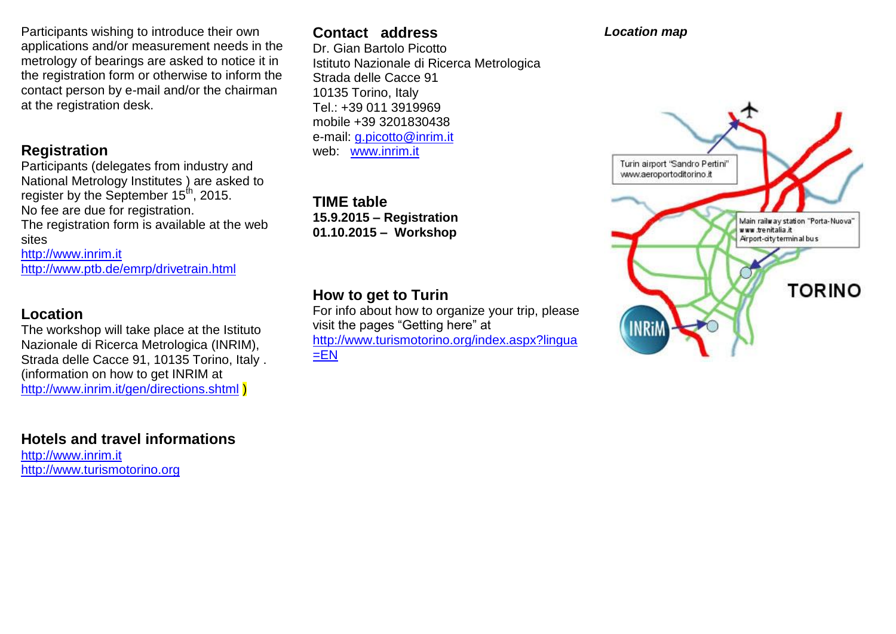Participants wishing to introduce their own applications and/or measurement needs in the metrology of bearings are asked to notice it in the registration form or otherwise to inform the contact person by e-mail and/or the chairman at the registration desk.

## **Registration**

Participants (delegates from industry and National Metrology Institutes ) are asked to register by the September  $15^{th}$ , 2015. No fee are due for registration.

The registration form is available at the web sites

[http://www.inrim.it](http://www.inrim.it/) <http://www.ptb.de/emrp/drivetrain.html>

## **Location**

The workshop will take place at the Istituto Nazionale di Ricerca Metrologica (INRIM), Strada delle Cacce 91, 10135 Torino, Italy . (information on how to get INRIM at <http://www.inrim.it/gen/directions.shtml>

**Hotels and travel informations** [http://www.inrim.it](http://www.inrim.it/) [http://www.turismotorino.org](http://www.turismotorino.org/)

## **Contact address**

Dr. Gian Bartolo Picotto Istituto Nazionale di Ricerca Metrologica Strada delle Cacce 91 10135 Torino, Italy Tel.: +39 011 3919969 mobile +39 3201830438 e-mail: [g.picotto@inrim.it](mailto:g.picotto@inrim.it) web: [www.inrim.it](http://www.inrim.it/)

**TIME table 15.9.2015 – Registration 01.10.2015 – Workshop** 

# **How to get to Turin**

For info about how to organize your trip, please visit the pages "Getting here" at [http://www.turismotorino.org/index.aspx?lingua](http://www.turismotorino.org/index.aspx?lingua=EN)  $=EN$